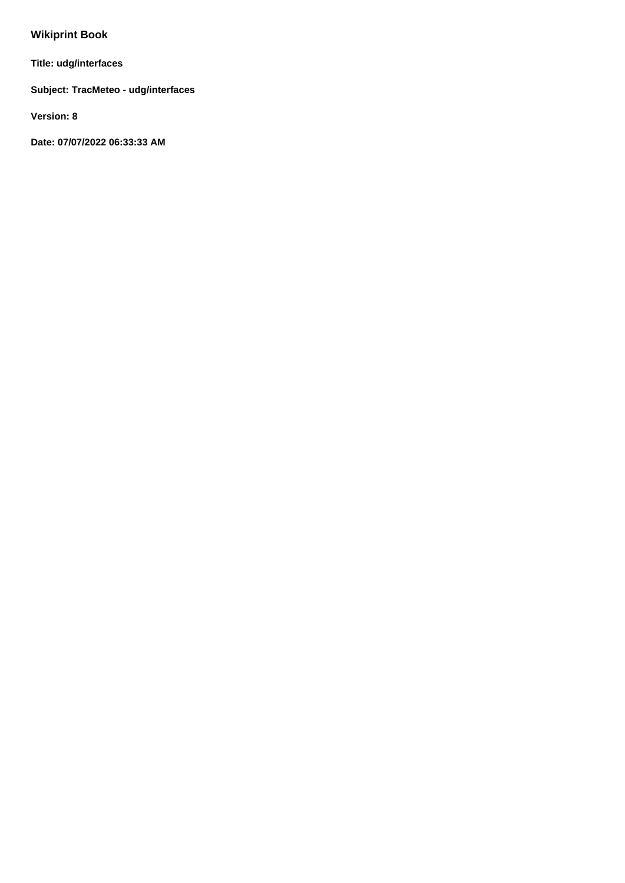## **Wikiprint Book**

**Title: udg/interfaces**

**Subject: TracMeteo - udg/interfaces**

**Version: 8**

**Date: 07/07/2022 06:33:33 AM**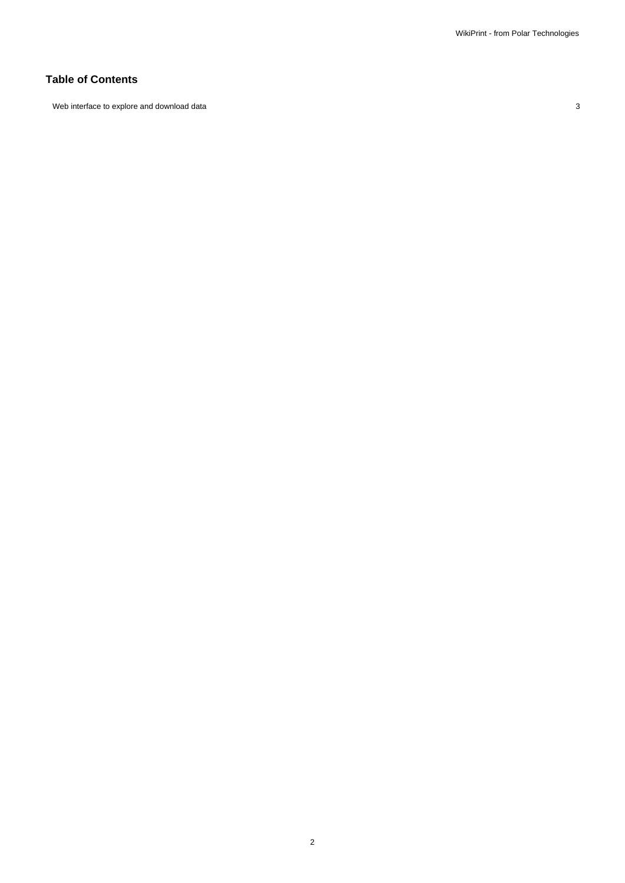## **Table of Contents**

Web interface to explore and download data 3